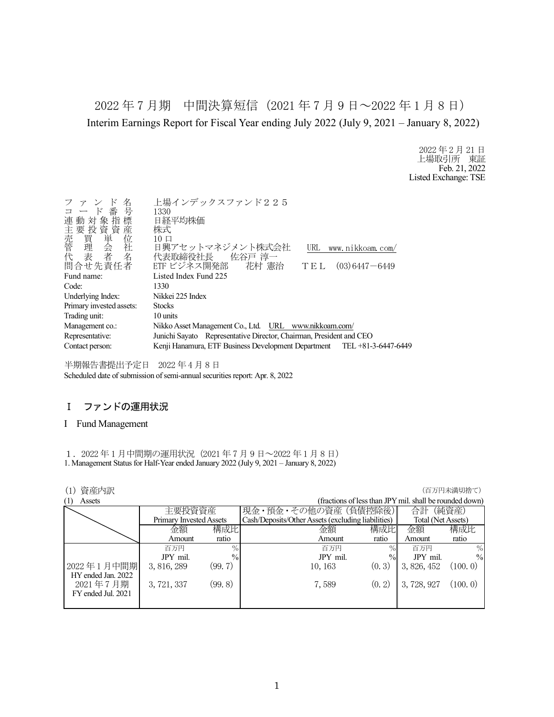2022 年 7 月期 中間決算短信(2021 年 7 月 9 日~2022 年 1 月 8 日) Interim Earnings Report for Fiscal Year ending July 2022 (July 9, 2021 – January 8, 2022)

> 2022 年 2 月 21 日 上場取引所 東証 Feb. 21, 2022 Listed Exchange: TSE

| 名<br>ファン<br>コード番号<br>連動対象指標<br>生主売管代<br> 那投資単会者<br> 投資単会者<br>問合せ先責任者 | 上場インデックスファンド225<br>1330<br>日経平均株価<br>株式<br>$10 \Box$<br>日興アセットマネジメント株式会社<br>www.nikkoam.com/<br>URL<br>代表取締役社長<br>佐谷戸 淳一<br>ETF ビジネス開発部 花村 憲治<br>$(03)$ 6447 - 6449<br>TEL |
|----------------------------------------------------------------------|----------------------------------------------------------------------------------------------------------------------------------------------------------------------------|
| Fund name:                                                           | Listed Index Fund 225                                                                                                                                                      |
| Code:                                                                | 1330                                                                                                                                                                       |
| Underlying Index:                                                    | Nikkei 225 Index                                                                                                                                                           |
| Primary invested assets:                                             | <b>Stocks</b>                                                                                                                                                              |
| Trading unit:                                                        | 10 units                                                                                                                                                                   |
| Management co.:                                                      | Nikko Asset Management Co., Ltd. URL www.nikkoam.com/                                                                                                                      |
| Representative:                                                      | Junichi Sayato Representative Director, Chairman, President and CEO                                                                                                        |
| Contact person:                                                      | Kenji Hanamura, ETF Business Development Department TEL +81-3-6447-6449                                                                                                    |
|                                                                      |                                                                                                                                                                            |

半期報告書提出予定日 2022 年 4 月 8 日 Scheduled date of submission of semi-annual securities report: Apr. 8, 2022

# Ⅰ ファンドの運用状況

## I Fund Management

1.2022 年 1 月中間期の運用状況(2021 年 7 月 9 日~2022 年 1 月 8 日) 1. Management Status for Half-Year ended January 2022 (July 9, 2021 – January 8, 2022)

| 資産内訳<br>(1)        |                                |         |                                                    |               |                                                         | (百万円未満切捨て)    |
|--------------------|--------------------------------|---------|----------------------------------------------------|---------------|---------------------------------------------------------|---------------|
| (1)<br>Assets      |                                |         |                                                    |               | (fractions of less than JPY mil. shall be rounded down) |               |
|                    | 主要投資資産                         |         | 現金・預金・その他の資産(負債控除後)                                |               | 合計                                                      | (純資産)         |
|                    | <b>Primary Invested Assets</b> |         | Cash/Deposits/Other Assets (excluding liabilities) |               | Total (Net Assets)                                      |               |
|                    | 金額                             | 構成比     | 金額                                                 | 構成比           | 金額                                                      | 構成比           |
|                    | Amount                         | ratio   | Amount                                             | ratio         | Amount                                                  | ratio         |
|                    | 百万円                            | $\%$    | 百万円                                                | $\%$          | 百万円                                                     | $\frac{0}{0}$ |
|                    | JPY mil.                       | $\%$    | JPY mil.                                           | $\frac{0}{0}$ | JPY mil.                                                | $\%$          |
| 2022年1月中間期         | 3, 816, 289                    | (99, 7) | 10, 163                                            | (0, 3)        | 3, 826, 452                                             | (100, 0)      |
| HY ended Jan. 2022 |                                |         |                                                    |               |                                                         |               |
| 2021年7月期           | 3, 721, 337                    | (99.8)  | 7,589                                              | (0, 2)        | 3,728,927                                               | (100.0)       |
| FY ended Jul. 2021 |                                |         |                                                    |               |                                                         |               |
|                    |                                |         |                                                    |               |                                                         |               |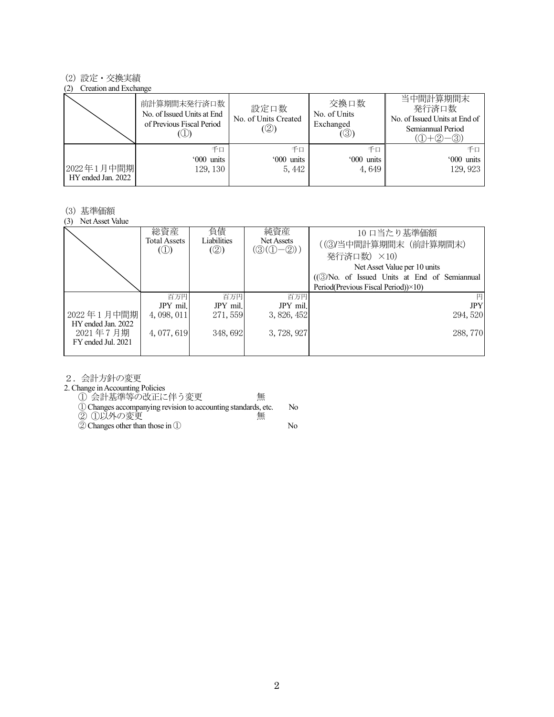## (2) 設定・交換実績

#### (2) Creation and Exchange

|                                  | 前計算期間末発行済口数<br>No. of Issued Units at End<br>of Previous Fiscal Period | 設定口数<br>No. of Units Created<br>(②) | 交換口数<br>No. of Units<br>Exchanged<br>$(\circledS)$ | 当中間計算期間末<br>発行済口数<br>No. of Issued Units at End of<br>Semiannual Period<br>$(D+Q)$<br>-3) |
|----------------------------------|------------------------------------------------------------------------|-------------------------------------|----------------------------------------------------|-------------------------------------------------------------------------------------------|
| 2022年1月中間期<br>HY ended Jan. 2022 | 千口<br>'000 units<br>129, 130                                           | 千口<br>'000 units<br>5, 442          | 千口<br>'000 units<br>4,649                          | 千口<br>'000 units<br>129, 923                                                              |

#### (3) 基準価額

(3) Net Asset Value

|                                                      | 総資産<br>Total Assets<br>$\circled{1}$ | 負債<br>Liabilities<br>(2) | 純資産<br>Net Assets<br>$(\mathcal{D}(\mathbb{O}-\mathbb{Q}))$ | 10 口当たり基準価額<br>((3)当中間計算期間末 (前計算期間末)<br>発行済口数) ×10)<br>Net Asset Value per 10 units<br>((3)No. of Issued Units at End of Semiannual<br>Period(Previous Fiscal Period))×10) |
|------------------------------------------------------|--------------------------------------|--------------------------|-------------------------------------------------------------|----------------------------------------------------------------------------------------------------------------------------------------------------------------------------|
|                                                      | 百万円                                  | 百万円                      | 百万円                                                         | 円                                                                                                                                                                          |
|                                                      | JPY mil.                             | JPY mil.                 | JPY mil.                                                    | <b>JPY</b>                                                                                                                                                                 |
| 2022年1月中間期                                           | 4,098,011                            | 271, 559                 | 3, 826, 452                                                 | 294, 520                                                                                                                                                                   |
| HY ended Jan. 2022<br>2021年7月期<br>FY ended Jul. 2021 | 4,077,619                            | 348,692                  | 3, 728, 927                                                 | 288, 770                                                                                                                                                                   |
|                                                      |                                      |                          |                                                             |                                                                                                                                                                            |

2.会計方針の変更

2. Change in Accounting Policies

① 会計基準等の改正に伴う変更 無

①Changes accompanying revision to accounting standards, etc. No

② ①以外の変更 無

②Changes other than those in ① No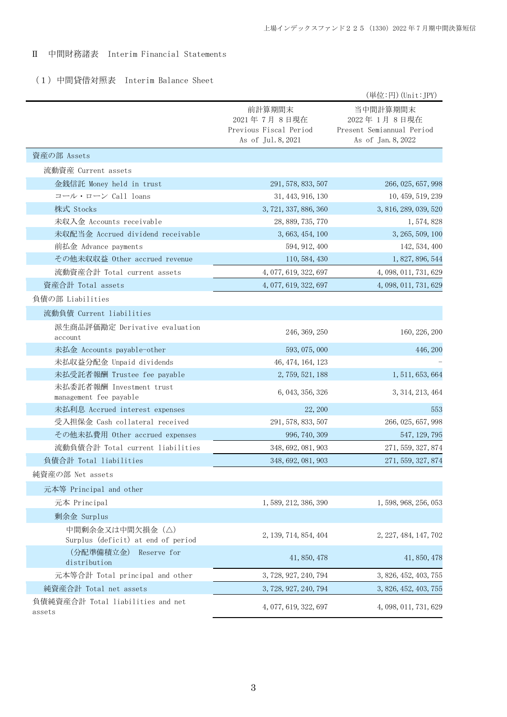# Ⅱ 中間財務諸表 Interim Financial Statements

# (1)中間貸借対照表 Interim Balance Sheet

|                                                        |                                                                       | (単位:円) (Unit:JPY)                                                          |
|--------------------------------------------------------|-----------------------------------------------------------------------|----------------------------------------------------------------------------|
|                                                        | 前計算期間末<br>2021年7月8日現在<br>Previous Fiscal Period<br>As of Jul. 8, 2021 | 当中間計算期間末<br>2022年1月8日現在<br>Present Semiannual Period<br>As of Jan. 8, 2022 |
| 資産の部 Assets                                            |                                                                       |                                                                            |
| 流動資産 Current assets                                    |                                                                       |                                                                            |
| 金銭信託 Money held in trust                               | 291, 578, 833, 507                                                    | 266, 025, 657, 998                                                         |
| コール・ローン Call loans                                     | 31, 443, 916, 130                                                     | 10, 459, 519, 239                                                          |
| 株式 Stocks                                              | 3, 721, 337, 886, 360                                                 | 3, 816, 289, 039, 520                                                      |
| 未収入金 Accounts receivable                               | 28, 889, 735, 770                                                     | 1, 574, 828                                                                |
| 未収配当金 Accrued dividend receivable                      | 3, 663, 454, 100                                                      | 3, 265, 509, 100                                                           |
| 前払金 Advance payments                                   | 594, 912, 400                                                         | 142, 534, 400                                                              |
| その他未収収益 Other accrued revenue                          | 110, 584, 430                                                         | 1, 827, 896, 544                                                           |
| 流動資産合計 Total current assets                            | 4, 077, 619, 322, 697                                                 | 4, 098, 011, 731, 629                                                      |
| 資産合計 Total assets                                      | 4, 077, 619, 322, 697                                                 | 4, 098, 011, 731, 629                                                      |
| 負債の部 Liabilities                                       |                                                                       |                                                                            |
| 流動負債 Current liabilities                               |                                                                       |                                                                            |
| 派生商品評価勘定 Derivative evaluation<br>account              | 246, 369, 250                                                         | 160, 226, 200                                                              |
| 未払金 Accounts payable-other                             | 593, 075, 000                                                         | 446, 200                                                                   |
| 未払収益分配金 Unpaid dividends                               | 46, 474, 164, 123                                                     |                                                                            |
| 未払受託者報酬 Trustee fee payable                            | 2, 759, 521, 188                                                      | 1, 511, 653, 664                                                           |
| 未払委託者報酬 Investment trust<br>management fee payable     | 6, 043, 356, 326                                                      | 3, 314, 213, 464                                                           |
| 未払利息 Accrued interest expenses                         | 22, 200                                                               | 553                                                                        |
| 受入担保金 Cash collateral received                         | 291, 578, 833, 507                                                    | 266, 025, 657, 998                                                         |
| その他未払費用 Other accrued expenses                         | 996, 740, 309                                                         | 547, 129, 795                                                              |
| 流動負債合計 Total current liabilities                       | 348, 692, 081, 903                                                    | 271, 559, 327, 874                                                         |
| 負債合計 Total liabilities                                 | 348, 692, 081, 903                                                    | 271, 559, 327, 874                                                         |
| 純資産の部 Net assets                                       |                                                                       |                                                                            |
| 元本等 Principal and other                                |                                                                       |                                                                            |
| 元本 Principal                                           | 1, 589, 212, 386, 390                                                 | 1, 598, 968, 256, 053                                                      |
| 剰余金 Surplus                                            |                                                                       |                                                                            |
| 中間剰余金又は中間欠損金 (△)<br>Surplus (deficit) at end of period | 2, 139, 714, 854, 404                                                 | 2, 227, 484, 147, 702                                                      |
| (分配準備積立金)<br>Reserve for<br>distribution               | 41, 850, 478                                                          | 41, 850, 478                                                               |
| 元本等合計 Total principal and other                        | 3, 728, 927, 240, 794                                                 | 3, 826, 452, 403, 755                                                      |
| 純資産合計 Total net assets                                 | 3, 728, 927, 240, 794                                                 | 3, 826, 452, 403, 755                                                      |
| 負債純資産合計 Total liabilities and net<br>assets            | 4, 077, 619, 322, 697                                                 | 4, 098, 011, 731, 629                                                      |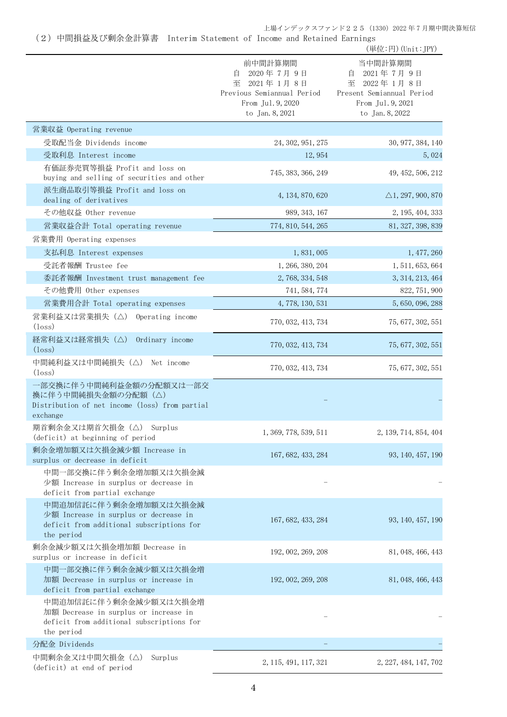(2)中間損益及び剰余金計算書 Interim Statement of Income and Retained Earnings

|                                                                                                                           |                                                                                                                | (単位:円) (Unit:JPY)                                                                                             |
|---------------------------------------------------------------------------------------------------------------------------|----------------------------------------------------------------------------------------------------------------|---------------------------------------------------------------------------------------------------------------|
|                                                                                                                           | 前中間計算期間<br>2020年7月9日<br>自<br>至 2021年1月8日<br>Previous Semiannual Period<br>From Jul. 9, 2020<br>to Jan. 8, 2021 | 当中間計算期間<br>2021年7月9日<br>目<br>至 2022年1月8日<br>Present Semiannual Period<br>From Jul. 9, 2021<br>to Jan. 8, 2022 |
| 営業収益 Operating revenue                                                                                                    |                                                                                                                |                                                                                                               |
| 受取配当金 Dividends income                                                                                                    | 24, 302, 951, 275                                                                                              | 30, 977, 384, 140                                                                                             |
| 受取利息 Interest income                                                                                                      | 12,954                                                                                                         | 5,024                                                                                                         |
| 有価証券売買等損益 Profit and loss on<br>buying and selling of securities and other                                                | 745, 383, 366, 249                                                                                             | 49, 452, 506, 212                                                                                             |
| 派生商品取引等損益 Profit and loss on<br>dealing of derivatives                                                                    | 4, 134, 870, 620                                                                                               | $\triangle$ 1, 297, 900, 870                                                                                  |
| その他収益 Other revenue                                                                                                       | 989, 343, 167                                                                                                  | 2, 195, 404, 333                                                                                              |
| 営業収益合計 Total operating revenue                                                                                            | 774, 810, 544, 265                                                                                             | 81, 327, 398, 839                                                                                             |
| 営業費用 Operating expenses                                                                                                   |                                                                                                                |                                                                                                               |
| 支払利息 Interest expenses                                                                                                    | 1,831,005                                                                                                      | 1, 477, 260                                                                                                   |
| 受託者報酬 Trustee fee                                                                                                         | 1, 266, 380, 204                                                                                               | 1, 511, 653, 664                                                                                              |
| 委託者報酬 Investment trust management fee                                                                                     | 2, 768, 334, 548                                                                                               | 3, 314, 213, 464                                                                                              |
| その他費用 Other expenses                                                                                                      | 741, 584, 774                                                                                                  | 822, 751, 900                                                                                                 |
| 営業費用合計 Total operating expenses                                                                                           | 4, 778, 130, 531                                                                                               | 5, 650, 096, 288                                                                                              |
| 営業利益又は営業損失 (△) Operating income<br>$(\text{loss})$                                                                        | 770, 032, 413, 734                                                                                             | 75, 677, 302, 551                                                                                             |
| 経常利益又は経常損失(△)<br>Ordinary income<br>$(\text{loss})$                                                                       | 770, 032, 413, 734                                                                                             | 75, 677, 302, 551                                                                                             |
| 中間純利益又は中間純損失 (△) Net income<br>$(\text{loss})$                                                                            | 770, 032, 413, 734                                                                                             | 75, 677, 302, 551                                                                                             |
| 一部交換に伴う中間純利益金額の分配額又は一部交<br>換に伴う中間純損失金額の分配額(△)<br>Distribution of net income (loss) from partial<br>exchange               |                                                                                                                |                                                                                                               |
| 期首剰余金又は期首欠損金 (△) Surplus<br>(deficit) at beginning of period                                                              | 1, 369, 778, 539, 511                                                                                          | 2, 139, 714, 854, 404                                                                                         |
| 剰余金増加額又は欠損金減少額 Increase in<br>surplus or decrease in deficit                                                              | 167, 682, 433, 284                                                                                             | 93, 140, 457, 190                                                                                             |
| 中間一部交換に伴う剰余金増加額又は欠損金減<br>少額 Increase in surplus or decrease in<br>deficit from partial exchange                           |                                                                                                                |                                                                                                               |
| 中間追加信託に伴う剰余金増加額又は欠損金減<br>少額 Increase in surplus or decrease in<br>deficit from additional subscriptions for<br>the period | 167, 682, 433, 284                                                                                             | 93, 140, 457, 190                                                                                             |
| 剰余金減少額又は欠損金増加額 Decrease in<br>surplus or increase in deficit                                                              | 192, 002, 269, 208                                                                                             | 81, 048, 466, 443                                                                                             |
| 中間一部交換に伴う剰余金減少額又は欠損金増<br>加額 Decrease in surplus or increase in<br>deficit from partial exchange                           | 192, 002, 269, 208                                                                                             | 81, 048, 466, 443                                                                                             |
| 中間追加信託に伴う剰余金減少額又は欠損金増<br>加額 Decrease in surplus or increase in<br>deficit from additional subscriptions for<br>the period |                                                                                                                |                                                                                                               |
| 分配金 Dividends                                                                                                             |                                                                                                                |                                                                                                               |
| 中間剰余金又は中間欠損金(△)<br>Surplus<br>(deficit) at end of period                                                                  | 2, 115, 491, 117, 321                                                                                          | 2, 227, 484, 147, 702                                                                                         |
|                                                                                                                           |                                                                                                                |                                                                                                               |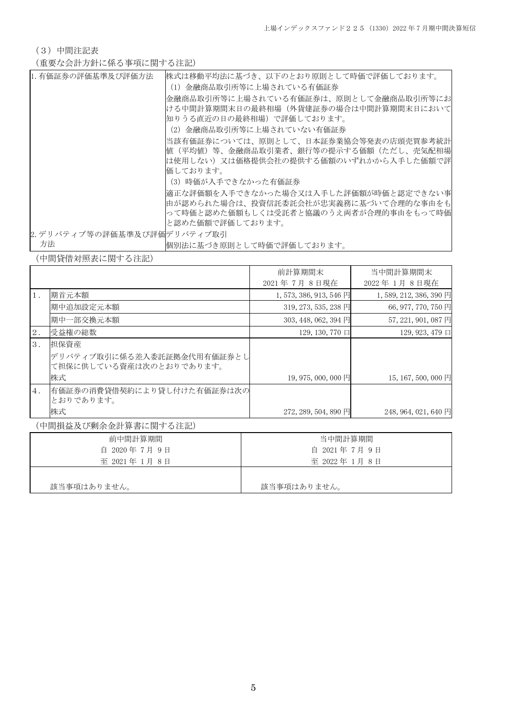(3)中間注記表

# (重要な会計方針に係る事項に関する注記)

| 1. 有価証券の評価基準及び評価方法          | 株式は移動平均法に基づき、以下のとおり原則として時価で評価しております。  |
|-----------------------------|---------------------------------------|
|                             | (1) 金融商品取引所等に上場されている有価証券              |
|                             | 金融商品取引所等に上場されている有価証券は、原則として金融商品取引所等にお |
|                             | ける中間計算期間末日の最終相場(外貨建証券の場合は中間計算期間末日において |
|                             | 知りうる直近の日の最終相場)で評価しております。              |
|                             | (2)金融商品取引所等に上場されていない有価証券              |
|                             | 当該有価証券については、原則として、日本証券業協会等発表の店頭売買参考統計 |
|                             | 値(平均値)等、金融商品取引業者、銀行等の提示する価額(ただし、売気配相場 |
|                             | は使用しない)又は価格提供会社の提供する価額のいずれかから入手した価額で評 |
|                             | 価しております。                              |
|                             | (3)時価が入手できなかった有価証券                    |
|                             | 適正な評価額を入手できなかった場合又は入手した評価額が時価と認定できない事 |
|                             | 由が認められた場合は、投資信託委託会社が忠実義務に基づいて合理的な事由をも |
|                             | って時価と認めた価額もしくは受託者と協議のうえ両者が合理的事由をもって時価 |
|                             | と認めた価額で評価しております。                      |
| 2. デリバティブ等の評価基準及び評価デリバティブ取引 |                                       |
| 方法                          | 悃別法に基づき原則として時価で評価しております。              |

(中間貸借対照表に関する注記)

|       |                                                       | 前計算期間末                  | 当中間計算期間末               |
|-------|-------------------------------------------------------|-------------------------|------------------------|
|       |                                                       | 2021年7月8日現在             | 2022年1月8日現在            |
| $1$ . | 期首元本額                                                 | 1, 573, 386, 913, 546 円 | 1,589, 212, 386, 390 円 |
|       | 期中追加設定元本額                                             | 319, 273, 535, 238 円    | 66, 977, 770, 750 円    |
|       | 期中一部交換元本額                                             | $303, 448, 062, 394$ 円  | 57, 221, 901, 087 円    |
| 2.    | 受益権の総数                                                | 129, 130, 770 口         | 129, 923, 479 口        |
| 3.    | 担保資産                                                  |                         |                        |
|       | デリバティブ取引に係る差入委託証拠金代用有価証券とし<br>て担保に供している資産は次のとおりであります。 |                         |                        |
|       | 株式                                                    | 19, 975, 000, 000 円     | 15, 167, 500, 000 円    |
| $4$ . | 有価証券の消費貸借契約により貸し付けた有価証券は次の<br>とおりであります。               |                         |                        |
|       | 株式                                                    | 272, 289, 504, 890 円    | 248, 964, 021, 640 円   |

(中間損益及び剰余金計算書に関する注記)

| 前中間計算期間       | 当中間計算期間       |
|---------------|---------------|
| 自 2020年7月9日   | 自 2021年7月9日   |
| 至 2021年 1月 8日 | 至 2022年 1月 8日 |
|               |               |
| 該当事項はありません。   | 該当事項はありません。   |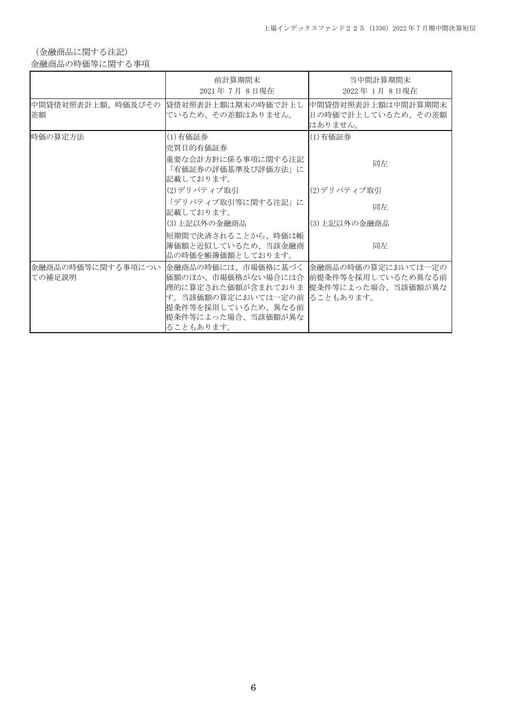(金融商品に関する注記)

金融商品の時価等に関する事項

|         | 前計算期間末<br>2021年7月8日現在                                                                                                                                                                                                                   | 当中間計算期間末<br>2022年1月8日現在                             |
|---------|-----------------------------------------------------------------------------------------------------------------------------------------------------------------------------------------------------------------------------------------|-----------------------------------------------------|
| 差額      | 中間貸借対照表計上額、時価及びその  貸借対照表計上額は期末の時価で計上し <br>ているため、その差額はありません。                                                                                                                                                                             | 中間貸借対照表計上額は中間計算期間末<br>日の時価で計上しているため、その差額<br>はありません。 |
| 時価の算定方法 | (1) 有価証券<br> 売買目的有価証券<br>重要な会計方針に係る事項に関する注記<br>「有価証券の評価基準及び評価方法」に                                                                                                                                                                       | (1)有価証券<br>同左                                       |
|         | 記載しております。<br> (2)デリバティブ取引<br>「デリバティブ取引等に関する注記」に<br>記載しております。<br>(3) 上記以外の金融商品                                                                                                                                                           | (2)デリバティブ取引<br>同左<br>(3) 上記以外の金融商品                  |
|         | 短期間で決済されることから、時価は帳 <br> 簿価額と近似しているため、当該金融商 <br>品の時価を帳簿価額としております。                                                                                                                                                                        | 同左                                                  |
| ての補足説明  | 金融商品の時価等に関する事項につい 金融商品の時価には、市場価格に基づく 金融商品の時価の算定においては一定の<br>価額のほか、市場価格がない場合には合 前提条件等を採用しているため異なる前<br> 理的に算定された価額が含まれておりま  提条件等によった場合、当該価額が異な <br>す。当該価額の算定においては一定の前 ることもあります。<br> 提条件等を採用しているため、 異なる前<br>提条件等によった場合、当該価額が異な<br>ることもあります。 |                                                     |